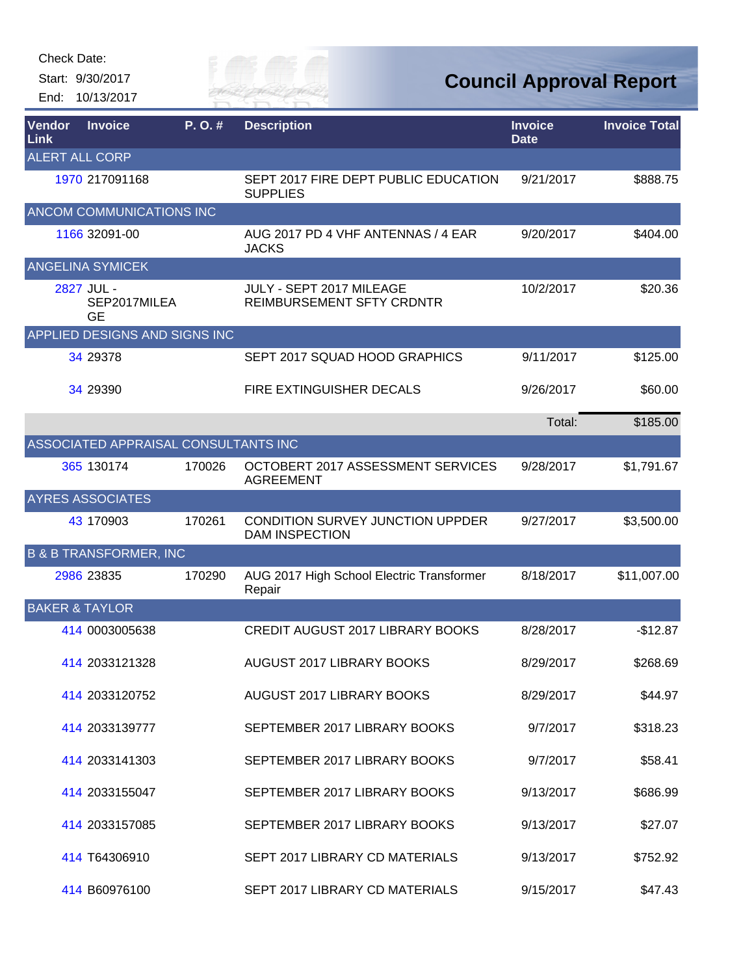Check Date:

Start: 9/30/2017 End: 10/13/2017



| Vendor<br>Link            | <b>Invoice</b>                       | P.O.#  | <b>Description</b>                                        | <b>Invoice</b><br><b>Date</b> | <b>Invoice Total</b> |
|---------------------------|--------------------------------------|--------|-----------------------------------------------------------|-------------------------------|----------------------|
| <b>ALERT ALL CORP</b>     |                                      |        |                                                           |                               |                      |
|                           | 1970 217091168                       |        | SEPT 2017 FIRE DEPT PUBLIC EDUCATION<br><b>SUPPLIES</b>   | 9/21/2017                     | \$888.75             |
|                           | ANCOM COMMUNICATIONS INC             |        |                                                           |                               |                      |
|                           | 1166 32091-00                        |        | AUG 2017 PD 4 VHF ANTENNAS / 4 EAR<br><b>JACKS</b>        | 9/20/2017                     | \$404.00             |
|                           | <b>ANGELINA SYMICEK</b>              |        |                                                           |                               |                      |
|                           | 2827 JUL -<br>SEP2017MILEA<br>GE     |        | JULY - SEPT 2017 MILEAGE<br>REIMBURSEMENT SFTY CRDNTR     | 10/2/2017                     | \$20.36              |
|                           | APPLIED DESIGNS AND SIGNS INC        |        |                                                           |                               |                      |
|                           | 34 29378                             |        | SEPT 2017 SQUAD HOOD GRAPHICS                             | 9/11/2017                     | \$125.00             |
|                           | 34 29390                             |        | FIRE EXTINGUISHER DECALS                                  | 9/26/2017                     | \$60.00              |
|                           |                                      |        |                                                           | Total:                        | \$185.00             |
|                           | ASSOCIATED APPRAISAL CONSULTANTS INC |        |                                                           |                               |                      |
|                           | 365 130174                           | 170026 | OCTOBERT 2017 ASSESSMENT SERVICES<br><b>AGREEMENT</b>     | 9/28/2017                     | \$1,791.67           |
|                           | <b>AYRES ASSOCIATES</b>              |        |                                                           |                               |                      |
|                           | 43 170903                            | 170261 | CONDITION SURVEY JUNCTION UPPDER<br><b>DAM INSPECTION</b> | 9/27/2017                     | \$3,500.00           |
|                           | <b>B &amp; B TRANSFORMER, INC</b>    |        |                                                           |                               |                      |
|                           | 2986 23835                           | 170290 | AUG 2017 High School Electric Transformer<br>Repair       | 8/18/2017                     | \$11,007.00          |
| <b>BAKER &amp; TAYLOR</b> |                                      |        |                                                           |                               |                      |
|                           | 414 0003005638                       |        | <b>CREDIT AUGUST 2017 LIBRARY BOOKS</b>                   | 8/28/2017                     | $-$12.87$            |
|                           | 414 2033121328                       |        | AUGUST 2017 LIBRARY BOOKS                                 | 8/29/2017                     | \$268.69             |
|                           | 414 2033120752                       |        | AUGUST 2017 LIBRARY BOOKS                                 | 8/29/2017                     | \$44.97              |
|                           | 414 2033139777                       |        | SEPTEMBER 2017 LIBRARY BOOKS                              | 9/7/2017                      | \$318.23             |
|                           | 414 2033141303                       |        | SEPTEMBER 2017 LIBRARY BOOKS                              | 9/7/2017                      | \$58.41              |
|                           | 414 2033155047                       |        | SEPTEMBER 2017 LIBRARY BOOKS                              | 9/13/2017                     | \$686.99             |
|                           | 414 2033157085                       |        | SEPTEMBER 2017 LIBRARY BOOKS                              | 9/13/2017                     | \$27.07              |
|                           | 414 T64306910                        |        | SEPT 2017 LIBRARY CD MATERIALS                            | 9/13/2017                     | \$752.92             |
|                           | 414 B60976100                        |        | SEPT 2017 LIBRARY CD MATERIALS                            | 9/15/2017                     | \$47.43              |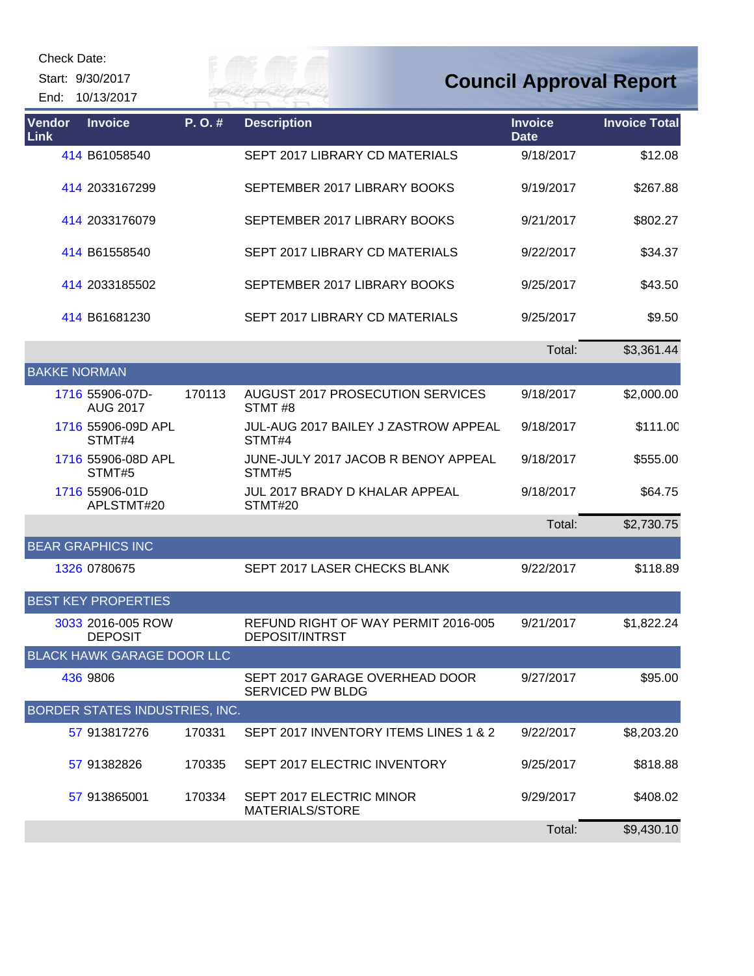| Check Date: |  |
|-------------|--|
|-------------|--|

End: 10/13/2017

## **Council Approval Report**

| Vendor<br>Link      | <b>Invoice</b>                        | P.O.#  | <b>Description</b>                                           | <b>Invoice</b><br><b>Date</b> | <b>Invoice Total</b> |
|---------------------|---------------------------------------|--------|--------------------------------------------------------------|-------------------------------|----------------------|
|                     | 414 B61058540                         |        | SEPT 2017 LIBRARY CD MATERIALS                               | 9/18/2017                     | \$12.08              |
|                     | 414 2033167299                        |        | SEPTEMBER 2017 LIBRARY BOOKS                                 | 9/19/2017                     | \$267.88             |
|                     | 414 2033176079                        |        | SEPTEMBER 2017 LIBRARY BOOKS                                 | 9/21/2017                     | \$802.27             |
|                     | 414 B61558540                         |        | SEPT 2017 LIBRARY CD MATERIALS                               | 9/22/2017                     | \$34.37              |
|                     | 414 2033185502                        |        | SEPTEMBER 2017 LIBRARY BOOKS                                 | 9/25/2017                     | \$43.50              |
|                     | 414 B61681230                         |        | SEPT 2017 LIBRARY CD MATERIALS                               | 9/25/2017                     | \$9.50               |
|                     |                                       |        |                                                              | Total:                        | \$3,361.44           |
| <b>BAKKE NORMAN</b> |                                       |        |                                                              |                               |                      |
|                     | 1716 55906-07D-<br><b>AUG 2017</b>    | 170113 | <b>AUGUST 2017 PROSECUTION SERVICES</b><br>STMT#8            | 9/18/2017                     | \$2,000.00           |
|                     | 1716 55906-09D APL<br>STMT#4          |        | JUL-AUG 2017 BAILEY J ZASTROW APPEAL<br>STMT#4               | 9/18/2017                     | \$111.00             |
|                     | 1716 55906-08D APL<br>STMT#5          |        | JUNE-JULY 2017 JACOB R BENOY APPEAL<br>STMT#5                | 9/18/2017                     | \$555.00             |
|                     | 1716 55906-01D<br>APLSTMT#20          |        | <b>JUL 2017 BRADY D KHALAR APPEAL</b><br>STMT#20             | 9/18/2017                     | \$64.75              |
|                     |                                       |        |                                                              | Total:                        | \$2,730.75           |
|                     | <b>BEAR GRAPHICS INC</b>              |        |                                                              |                               |                      |
|                     | 1326 0780675                          |        | SEPT 2017 LASER CHECKS BLANK                                 | 9/22/2017                     | \$118.89             |
|                     | <b>BEST KEY PROPERTIES</b>            |        |                                                              |                               |                      |
|                     | 3033 2016-005 ROW<br><b>DEPOSIT</b>   |        | REFUND RIGHT OF WAY PERMIT 2016-005<br><b>DEPOSIT/INTRST</b> | 9/21/2017                     | \$1,822.24           |
|                     | <b>BLACK HAWK GARAGE DOOR LLC</b>     |        |                                                              |                               |                      |
|                     | 436 9806                              |        | SEPT 2017 GARAGE OVERHEAD DOOR<br><b>SERVICED PW BLDG</b>    | 9/27/2017                     | \$95.00              |
|                     | <b>BORDER STATES INDUSTRIES, INC.</b> |        |                                                              |                               |                      |
|                     | 57 913817276                          | 170331 | SEPT 2017 INVENTORY ITEMS LINES 1 & 2                        | 9/22/2017                     | \$8,203.20           |
|                     | 57 91382826                           | 170335 | SEPT 2017 ELECTRIC INVENTORY                                 | 9/25/2017                     | \$818.88             |
|                     | 57 913865001                          | 170334 | SEPT 2017 ELECTRIC MINOR<br>MATERIALS/STORE                  | 9/29/2017                     | \$408.02             |
|                     |                                       |        |                                                              | Total:                        | \$9,430.10           |

Eily of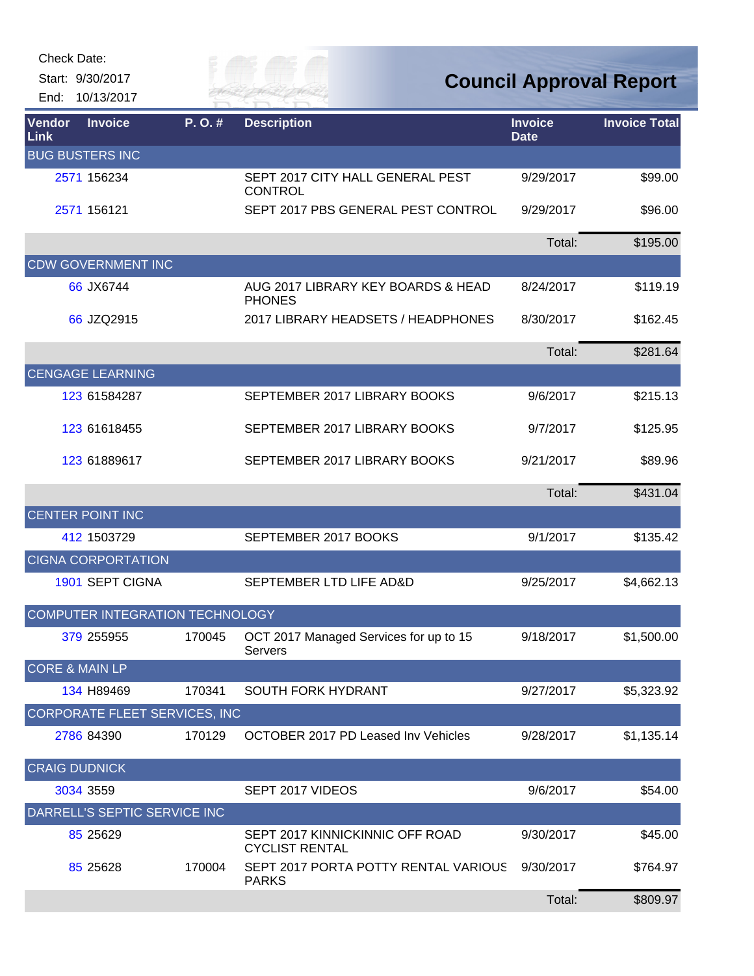| Check Date: |  |
|-------------|--|
|-------------|--|

End: 10/13/2017

Guy of

| <b>Vendor</b><br>Link     | <b>Invoice</b>                       | P.O.#  | <b>Description</b>                                       | <b>Invoice</b><br><b>Date</b> | <b>Invoice Total</b> |
|---------------------------|--------------------------------------|--------|----------------------------------------------------------|-------------------------------|----------------------|
|                           | <b>BUG BUSTERS INC</b>               |        |                                                          |                               |                      |
|                           | 2571 156234                          |        | SEPT 2017 CITY HALL GENERAL PEST<br><b>CONTROL</b>       | 9/29/2017                     | \$99.00              |
|                           | 2571 156121                          |        | SEPT 2017 PBS GENERAL PEST CONTROL                       | 9/29/2017                     | \$96.00              |
|                           |                                      |        |                                                          | Total:                        | \$195.00             |
|                           | <b>CDW GOVERNMENT INC</b>            |        |                                                          |                               |                      |
|                           | 66 JX6744                            |        | AUG 2017 LIBRARY KEY BOARDS & HEAD<br><b>PHONES</b>      | 8/24/2017                     | \$119.19             |
|                           | 66 JZQ2915                           |        | 2017 LIBRARY HEADSETS / HEADPHONES                       | 8/30/2017                     | \$162.45             |
|                           |                                      |        |                                                          | Total:                        | \$281.64             |
|                           | <b>CENGAGE LEARNING</b>              |        |                                                          |                               |                      |
|                           | 123 61584287                         |        | SEPTEMBER 2017 LIBRARY BOOKS                             | 9/6/2017                      | \$215.13             |
|                           | 123 61618455                         |        | SEPTEMBER 2017 LIBRARY BOOKS                             | 9/7/2017                      | \$125.95             |
|                           | 123 61889617                         |        | SEPTEMBER 2017 LIBRARY BOOKS                             | 9/21/2017                     | \$89.96              |
|                           |                                      |        |                                                          | Total:                        | \$431.04             |
|                           | <b>CENTER POINT INC</b>              |        |                                                          |                               |                      |
|                           | 412 1503729                          |        | SEPTEMBER 2017 BOOKS                                     | 9/1/2017                      | \$135.42             |
|                           | <b>CIGNA CORPORTATION</b>            |        |                                                          |                               |                      |
|                           | 1901 SEPT CIGNA                      |        | SEPTEMBER LTD LIFE AD&D                                  | 9/25/2017                     | \$4,662.13           |
|                           | COMPUTER INTEGRATION TECHNOLOGY      |        |                                                          |                               |                      |
|                           | 379 255955                           | 170045 | OCT 2017 Managed Services for up to 15<br>Servers        | 9/18/2017                     | \$1,500.00           |
| <b>CORE &amp; MAIN LP</b> |                                      |        |                                                          |                               |                      |
|                           | 134 H89469                           | 170341 | SOUTH FORK HYDRANT                                       | 9/27/2017                     | \$5,323.92           |
|                           | <b>CORPORATE FLEET SERVICES, INC</b> |        |                                                          |                               |                      |
|                           | 2786 84390                           | 170129 | <b>OCTOBER 2017 PD Leased Inv Vehicles</b>               | 9/28/2017                     | \$1,135.14           |
| <b>CRAIG DUDNICK</b>      |                                      |        |                                                          |                               |                      |
|                           | 3034 3559                            |        | SEPT 2017 VIDEOS                                         | 9/6/2017                      | \$54.00              |
|                           | DARRELL'S SEPTIC SERVICE INC         |        |                                                          |                               |                      |
|                           | 85 25 629                            |        | SEPT 2017 KINNICKINNIC OFF ROAD<br><b>CYCLIST RENTAL</b> | 9/30/2017                     | \$45.00              |
|                           | 85 25 628                            | 170004 | SEPT 2017 PORTA POTTY RENTAL VARIOUS<br><b>PARKS</b>     | 9/30/2017                     | \$764.97             |
|                           |                                      |        |                                                          | Total:                        | \$809.97             |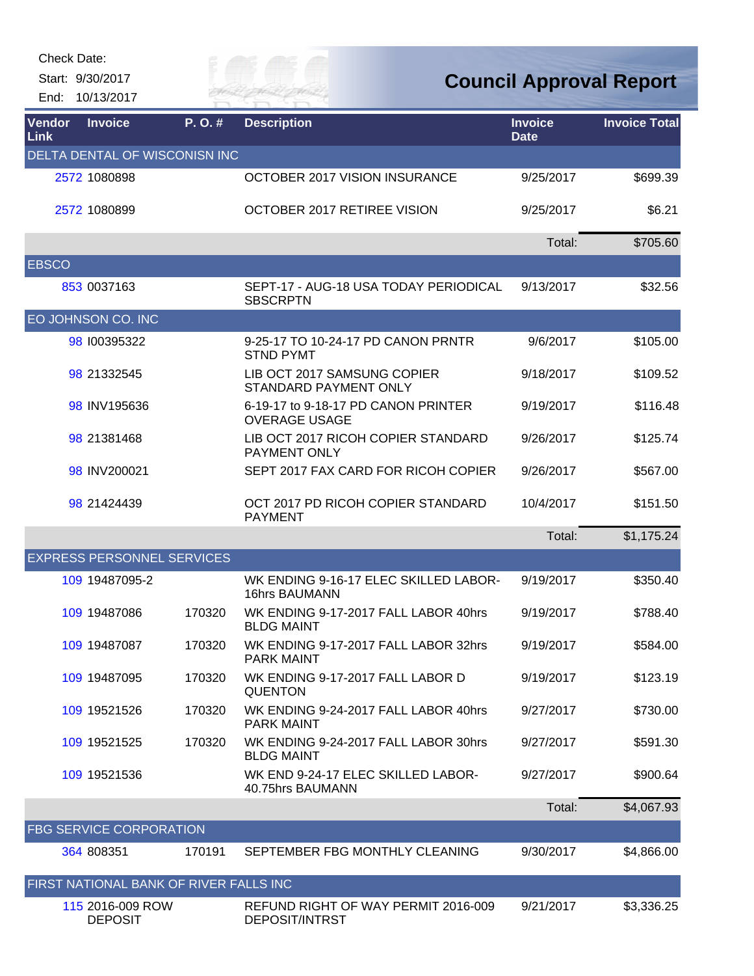Check Date:

| End:           | Start: 9/30/2017<br>10/13/2017         |        | ER HAI                                                        |                               | <b>Council Approval Report</b> |
|----------------|----------------------------------------|--------|---------------------------------------------------------------|-------------------------------|--------------------------------|
| Vendor<br>Link | <b>Invoice</b>                         | P.O.#  | <b>Description</b>                                            | <b>Invoice</b><br><b>Date</b> | <b>Invoice Total</b>           |
|                | DELTA DENTAL OF WISCONISN INC          |        |                                                               |                               |                                |
|                | 2572 1080898                           |        | OCTOBER 2017 VISION INSURANCE                                 | 9/25/2017                     | \$699.39                       |
|                | 2572 1080899                           |        | OCTOBER 2017 RETIREE VISION                                   | 9/25/2017                     | \$6.21                         |
|                |                                        |        |                                                               | Total:                        | \$705.60                       |
| <b>EBSCO</b>   |                                        |        |                                                               |                               |                                |
|                | 853 0037163                            |        | SEPT-17 - AUG-18 USA TODAY PERIODICAL<br><b>SBSCRPTN</b>      | 9/13/2017                     | \$32.56                        |
|                | EO JOHNSON CO. INC                     |        |                                                               |                               |                                |
|                | 98 100395322                           |        | 9-25-17 TO 10-24-17 PD CANON PRNTR<br><b>STND PYMT</b>        | 9/6/2017                      | \$105.00                       |
|                | 98 21332545                            |        | LIB OCT 2017 SAMSUNG COPIER<br>STANDARD PAYMENT ONLY          | 9/18/2017                     | \$109.52                       |
|                | 98 INV195636                           |        | 6-19-17 to 9-18-17 PD CANON PRINTER<br><b>OVERAGE USAGE</b>   | 9/19/2017                     | \$116.48                       |
|                | 98 21381468                            |        | LIB OCT 2017 RICOH COPIER STANDARD<br>PAYMENT ONLY            | 9/26/2017                     | \$125.74                       |
|                | 98 INV200021                           |        | SEPT 2017 FAX CARD FOR RICOH COPIER                           | 9/26/2017                     | \$567.00                       |
|                | 98 21424439                            |        | OCT 2017 PD RICOH COPIER STANDARD<br><b>PAYMENT</b>           | 10/4/2017                     | \$151.50                       |
|                |                                        |        |                                                               | Total:                        | \$1,175.24                     |
|                | <b>EXPRESS PERSONNEL SERVICES</b>      |        |                                                               |                               |                                |
|                | 109 19487095-2                         |        | WK ENDING 9-16-17 ELEC SKILLED LABOR-<br><b>16hrs BAUMANN</b> | 9/19/2017                     | \$350.40                       |
|                | 109 19487086                           | 170320 | WK ENDING 9-17-2017 FALL LABOR 40hrs<br><b>BLDG MAINT</b>     | 9/19/2017                     | \$788.40                       |
|                | 109 19487087                           | 170320 | WK ENDING 9-17-2017 FALL LABOR 32hrs<br><b>PARK MAINT</b>     | 9/19/2017                     | \$584.00                       |
|                | 109 19487095                           | 170320 | WK ENDING 9-17-2017 FALL LABOR D<br><b>QUENTON</b>            | 9/19/2017                     | \$123.19                       |
|                | 109 19521526                           | 170320 | WK ENDING 9-24-2017 FALL LABOR 40hrs<br><b>PARK MAINT</b>     | 9/27/2017                     | \$730.00                       |
|                | 109 19521525                           | 170320 | WK ENDING 9-24-2017 FALL LABOR 30hrs<br><b>BLDG MAINT</b>     | 9/27/2017                     | \$591.30                       |
|                | 109 19521536                           |        | WK END 9-24-17 ELEC SKILLED LABOR-<br>40.75hrs BAUMANN        | 9/27/2017                     | \$900.64                       |
|                |                                        |        |                                                               | Total:                        | \$4,067.93                     |
|                | <b>FBG SERVICE CORPORATION</b>         |        |                                                               |                               |                                |
|                | 364 808351                             | 170191 | SEPTEMBER FBG MONTHLY CLEANING                                | 9/30/2017                     | \$4,866.00                     |
|                | FIRST NATIONAL BANK OF RIVER FALLS INC |        |                                                               |                               |                                |
|                | 115 2016-009 ROW<br><b>DEPOSIT</b>     |        | REFUND RIGHT OF WAY PERMIT 2016-009<br><b>DEPOSIT/INTRST</b>  | 9/21/2017                     | \$3,336.25                     |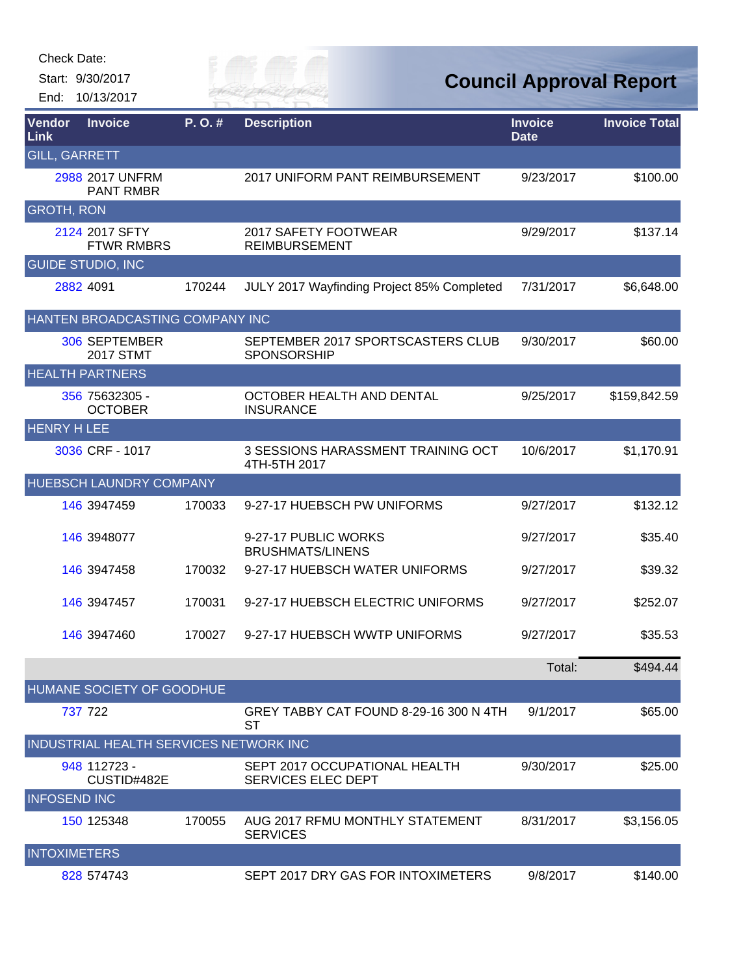| Check Date: |  |
|-------------|--|
|-------------|--|

End: 10/13/2017

# *City of*

| Vendor<br>Link       | <b>Invoice</b>                         | P.O.#  | <b>Description</b>                                         | <b>Invoice</b><br><b>Date</b> | <b>Invoice Total</b> |
|----------------------|----------------------------------------|--------|------------------------------------------------------------|-------------------------------|----------------------|
| <b>GILL, GARRETT</b> |                                        |        |                                                            |                               |                      |
|                      | 2988 2017 UNFRM<br><b>PANT RMBR</b>    |        | 2017 UNIFORM PANT REIMBURSEMENT                            | 9/23/2017                     | \$100.00             |
| <b>GROTH, RON</b>    |                                        |        |                                                            |                               |                      |
|                      | 2124 2017 SFTY<br><b>FTWR RMBRS</b>    |        | 2017 SAFETY FOOTWEAR<br><b>REIMBURSEMENT</b>               | 9/29/2017                     | \$137.14             |
|                      | <b>GUIDE STUDIO, INC</b>               |        |                                                            |                               |                      |
|                      | 2882 4091                              | 170244 | JULY 2017 Wayfinding Project 85% Completed                 | 7/31/2017                     | \$6,648.00           |
|                      | HANTEN BROADCASTING COMPANY INC        |        |                                                            |                               |                      |
|                      | 306 SEPTEMBER<br><b>2017 STMT</b>      |        | SEPTEMBER 2017 SPORTSCASTERS CLUB<br><b>SPONSORSHIP</b>    | 9/30/2017                     | \$60.00              |
|                      | <b>HEALTH PARTNERS</b>                 |        |                                                            |                               |                      |
|                      | 356 75632305 -<br><b>OCTOBER</b>       |        | OCTOBER HEALTH AND DENTAL<br><b>INSURANCE</b>              | 9/25/2017                     | \$159,842.59         |
| <b>HENRY H LEE</b>   |                                        |        |                                                            |                               |                      |
|                      | 3036 CRF - 1017                        |        | 3 SESSIONS HARASSMENT TRAINING OCT<br>4TH-5TH 2017         | 10/6/2017                     | \$1,170.91           |
|                      | <b>HUEBSCH LAUNDRY COMPANY</b>         |        |                                                            |                               |                      |
|                      | 146 3947459                            | 170033 | 9-27-17 HUEBSCH PW UNIFORMS                                | 9/27/2017                     | \$132.12             |
|                      | 146 3948077                            |        | 9-27-17 PUBLIC WORKS<br><b>BRUSHMATS/LINENS</b>            | 9/27/2017                     | \$35.40              |
|                      | 146 3947458                            | 170032 | 9-27-17 HUEBSCH WATER UNIFORMS                             | 9/27/2017                     | \$39.32              |
|                      | 146 3947457                            | 170031 | 9-27-17 HUEBSCH ELECTRIC UNIFORMS                          | 9/27/2017                     | \$252.07             |
|                      | 146 3947460                            | 170027 | 9-27-17 HUEBSCH WWTP UNIFORMS                              | 9/27/2017                     | \$35.53              |
|                      |                                        |        |                                                            | Total:                        | \$494.44             |
|                      | HUMANE SOCIETY OF GOODHUE              |        |                                                            |                               |                      |
|                      | 737 722                                |        | GREY TABBY CAT FOUND 8-29-16 300 N 4TH<br><b>ST</b>        | 9/1/2017                      | \$65.00              |
|                      | INDUSTRIAL HEALTH SERVICES NETWORK INC |        |                                                            |                               |                      |
|                      | 948 112723 -<br>CUSTID#482E            |        | SEPT 2017 OCCUPATIONAL HEALTH<br><b>SERVICES ELEC DEPT</b> | 9/30/2017                     | \$25.00              |
| <b>INFOSEND INC</b>  |                                        |        |                                                            |                               |                      |
|                      | 150 125348                             | 170055 | AUG 2017 RFMU MONTHLY STATEMENT<br><b>SERVICES</b>         | 8/31/2017                     | \$3,156.05           |
| <b>INTOXIMETERS</b>  |                                        |        |                                                            |                               |                      |
|                      | 828 574743                             |        | SEPT 2017 DRY GAS FOR INTOXIMETERS                         | 9/8/2017                      | \$140.00             |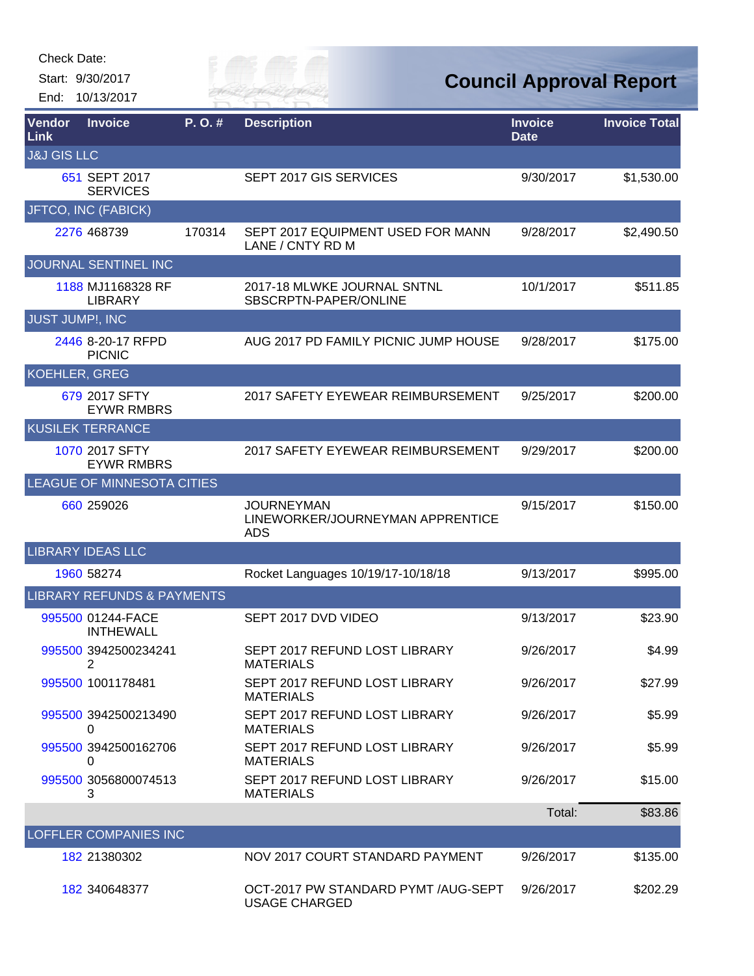End: 10/13/2017

## *City of*

| <b>Vendor</b><br>Link  | <b>Invoice</b>                        | P.O.#  | <b>Description</b>                                                  | <b>Invoice</b><br><b>Date</b> | <b>Invoice Total</b> |
|------------------------|---------------------------------------|--------|---------------------------------------------------------------------|-------------------------------|----------------------|
| <b>J&amp;J GIS LLC</b> |                                       |        |                                                                     |                               |                      |
|                        | 651 SEPT 2017<br><b>SERVICES</b>      |        | SEPT 2017 GIS SERVICES                                              | 9/30/2017                     | \$1,530.00           |
|                        | JFTCO, INC (FABICK)                   |        |                                                                     |                               |                      |
|                        | 2276 468739                           | 170314 | SEPT 2017 EQUIPMENT USED FOR MANN<br>LANE / CNTY RD M               | 9/28/2017                     | \$2,490.50           |
|                        | JOURNAL SENTINEL INC                  |        |                                                                     |                               |                      |
|                        | 1188 MJ1168328 RF<br><b>LIBRARY</b>   |        | 2017-18 MLWKE JOURNAL SNTNL<br>SBSCRPTN-PAPER/ONLINE                | 10/1/2017                     | \$511.85             |
| JUST JUMP!, INC        |                                       |        |                                                                     |                               |                      |
|                        | 2446 8-20-17 RFPD<br><b>PICNIC</b>    |        | AUG 2017 PD FAMILY PICNIC JUMP HOUSE                                | 9/28/2017                     | \$175.00             |
| <b>KOEHLER, GREG</b>   |                                       |        |                                                                     |                               |                      |
|                        | 679 2017 SFTY<br><b>EYWR RMBRS</b>    |        | 2017 SAFETY EYEWEAR REIMBURSEMENT                                   | 9/25/2017                     | \$200.00             |
|                        | <b>KUSILEK TERRANCE</b>               |        |                                                                     |                               |                      |
|                        | 1070 2017 SFTY<br><b>EYWR RMBRS</b>   |        | 2017 SAFETY EYEWEAR REIMBURSEMENT                                   | 9/29/2017                     | \$200.00             |
|                        | LEAGUE OF MINNESOTA CITIES            |        |                                                                     |                               |                      |
|                        | 660 259026                            |        | <b>JOURNEYMAN</b><br>LINEWORKER/JOURNEYMAN APPRENTICE<br><b>ADS</b> | 9/15/2017                     | \$150.00             |
|                        | <b>LIBRARY IDEAS LLC</b>              |        |                                                                     |                               |                      |
|                        | 1960 58274                            |        | Rocket Languages 10/19/17-10/18/18                                  | 9/13/2017                     | \$995.00             |
|                        | <b>LIBRARY REFUNDS &amp; PAYMENTS</b> |        |                                                                     |                               |                      |
|                        | 995500 01244-FACE<br><b>INTHEWALL</b> |        | SEPT 2017 DVD VIDEO                                                 | 9/13/2017                     | \$23.90              |
|                        | 995500 3942500234241<br>2             |        | SEPT 2017 REFUND LOST LIBRARY<br><b>MATERIALS</b>                   | 9/26/2017                     | \$4.99               |
|                        | 995500 1001178481                     |        | SEPT 2017 REFUND LOST LIBRARY<br><b>MATERIALS</b>                   | 9/26/2017                     | \$27.99              |
|                        | 995500 3942500213490<br>0             |        | SEPT 2017 REFUND LOST LIBRARY<br><b>MATERIALS</b>                   | 9/26/2017                     | \$5.99               |
|                        | 995500 3942500162706<br>0             |        | SEPT 2017 REFUND LOST LIBRARY<br><b>MATERIALS</b>                   | 9/26/2017                     | \$5.99               |
|                        | 995500 3056800074513<br>3             |        | SEPT 2017 REFUND LOST LIBRARY<br><b>MATERIALS</b>                   | 9/26/2017                     | \$15.00              |
|                        |                                       |        |                                                                     | Total:                        | \$83.86              |
|                        | <b>LOFFLER COMPANIES INC</b>          |        |                                                                     |                               |                      |
|                        | 182 21380302                          |        | NOV 2017 COURT STANDARD PAYMENT                                     | 9/26/2017                     | \$135.00             |
|                        | 182 340648377                         |        | OCT-2017 PW STANDARD PYMT /AUG-SEPT<br><b>USAGE CHARGED</b>         | 9/26/2017                     | \$202.29             |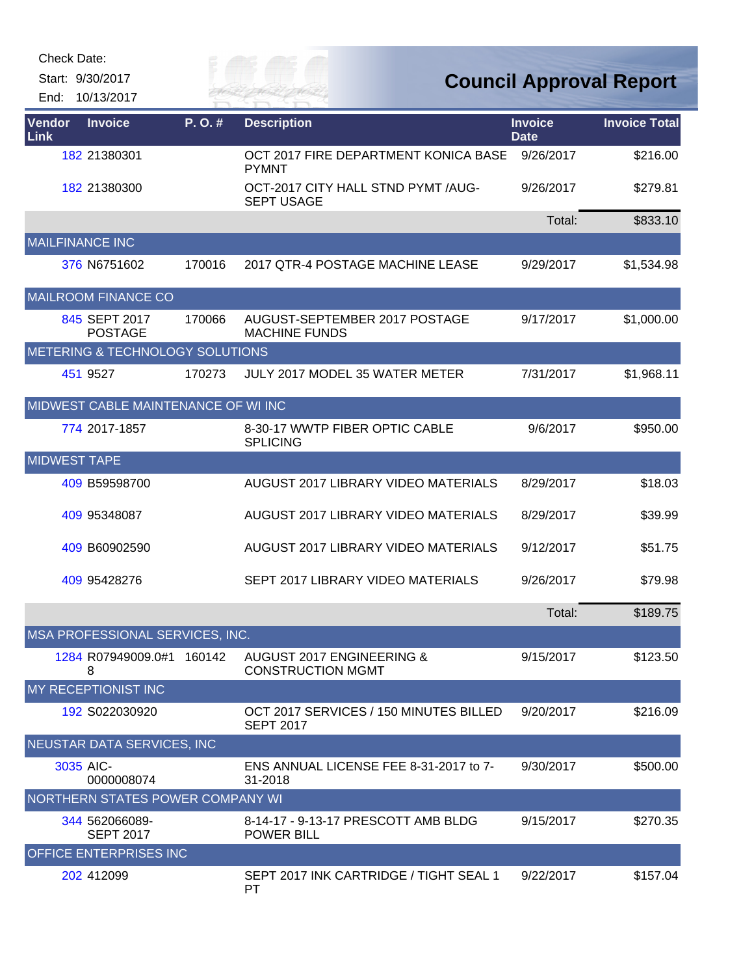| Check Date: |  |
|-------------|--|
|-------------|--|

End: 10/13/2017

## *Cuy of*

| <b>Vendor</b><br>Link | <b>Invoice</b>                      | $P. O.$ # | <b>Description</b>                                         | <b>Invoice</b><br><b>Date</b> | <b>Invoice Total</b> |
|-----------------------|-------------------------------------|-----------|------------------------------------------------------------|-------------------------------|----------------------|
|                       | 182 21380301                        |           | OCT 2017 FIRE DEPARTMENT KONICA BASE<br><b>PYMNT</b>       | 9/26/2017                     | \$216.00             |
|                       | 182 21380300                        |           | OCT-2017 CITY HALL STND PYMT /AUG-<br><b>SEPT USAGE</b>    | 9/26/2017                     | \$279.81             |
|                       |                                     |           |                                                            | Total:                        | \$833.10             |
|                       | <b>MAILFINANCE INC</b>              |           |                                                            |                               |                      |
|                       | 376 N6751602                        | 170016    | 2017 QTR-4 POSTAGE MACHINE LEASE                           | 9/29/2017                     | \$1,534.98           |
|                       | <b>MAILROOM FINANCE CO</b>          |           |                                                            |                               |                      |
|                       | 845 SEPT 2017<br><b>POSTAGE</b>     | 170066    | AUGUST-SEPTEMBER 2017 POSTAGE<br><b>MACHINE FUNDS</b>      | 9/17/2017                     | \$1,000.00           |
|                       | METERING & TECHNOLOGY SOLUTIONS     |           |                                                            |                               |                      |
|                       | 451 9527                            | 170273    | JULY 2017 MODEL 35 WATER METER                             | 7/31/2017                     | \$1,968.11           |
|                       | MIDWEST CABLE MAINTENANCE OF WI INC |           |                                                            |                               |                      |
|                       | 774 2017-1857                       |           | 8-30-17 WWTP FIBER OPTIC CABLE<br><b>SPLICING</b>          | 9/6/2017                      | \$950.00             |
| <b>MIDWEST TAPE</b>   |                                     |           |                                                            |                               |                      |
|                       | 409 B59598700                       |           | AUGUST 2017 LIBRARY VIDEO MATERIALS                        | 8/29/2017                     | \$18.03              |
|                       | 409 95348087                        |           | AUGUST 2017 LIBRARY VIDEO MATERIALS                        | 8/29/2017                     | \$39.99              |
|                       | 409 B60902590                       |           | AUGUST 2017 LIBRARY VIDEO MATERIALS                        | 9/12/2017                     | \$51.75              |
|                       | 409 95428276                        |           | SEPT 2017 LIBRARY VIDEO MATERIALS                          | 9/26/2017                     | \$79.98              |
|                       |                                     |           |                                                            | Total:                        | \$189.75             |
|                       | MSA PROFESSIONAL SERVICES, INC.     |           |                                                            |                               |                      |
|                       | 1284 R07949009.0#1 160142<br>8      |           | AUGUST 2017 ENGINEERING &<br><b>CONSTRUCTION MGMT</b>      | 9/15/2017                     | \$123.50             |
|                       | MY RECEPTIONIST INC                 |           |                                                            |                               |                      |
|                       | 192 S022030920                      |           | OCT 2017 SERVICES / 150 MINUTES BILLED<br><b>SEPT 2017</b> | 9/20/2017                     | \$216.09             |
|                       | NEUSTAR DATA SERVICES, INC          |           |                                                            |                               |                      |
|                       | 3035 AIC-<br>0000008074             |           | ENS ANNUAL LICENSE FEE 8-31-2017 to 7-<br>31-2018          | 9/30/2017                     | \$500.00             |
|                       | NORTHERN STATES POWER COMPANY WI    |           |                                                            |                               |                      |
|                       | 344 562066089-<br><b>SEPT 2017</b>  |           | 8-14-17 - 9-13-17 PRESCOTT AMB BLDG<br><b>POWER BILL</b>   | 9/15/2017                     | \$270.35             |
|                       | OFFICE ENTERPRISES INC              |           |                                                            |                               |                      |
|                       | 202 412099                          |           | SEPT 2017 INK CARTRIDGE / TIGHT SEAL 1<br>PT               | 9/22/2017                     | \$157.04             |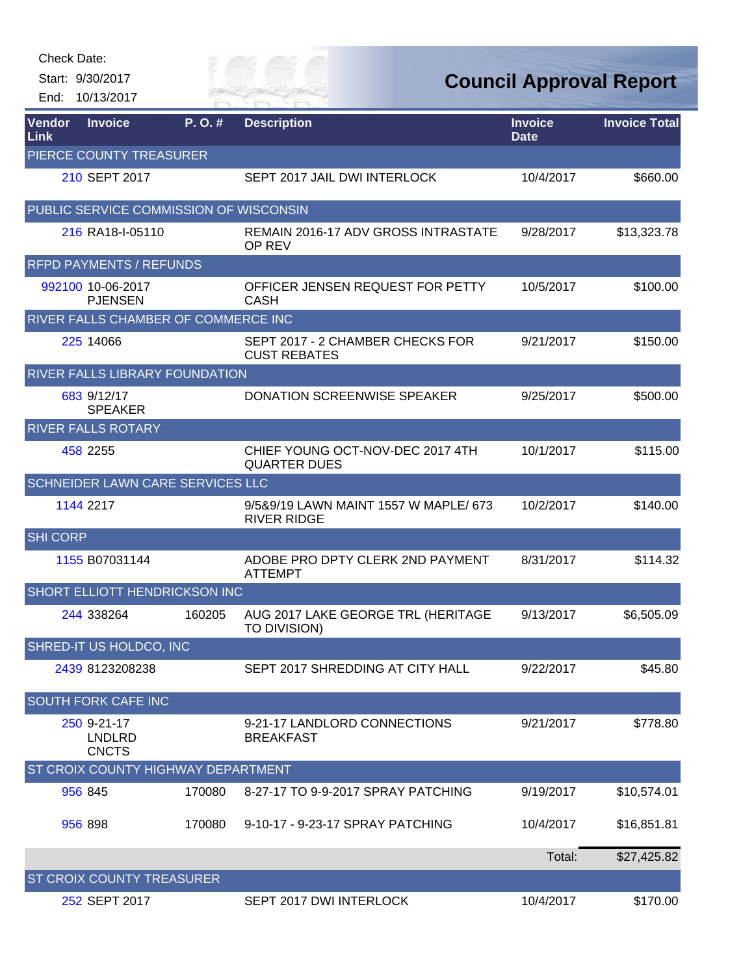Start: 9/30/2017 End: 10/13/2017 Eily of

**Council Approval Report**

| Vendor<br>Link  | <b>Invoice</b>                               | P. O. # | <b>Description</b>                                          | <b>Invoice</b><br><b>Date</b> | <b>Invoice Total</b> |
|-----------------|----------------------------------------------|---------|-------------------------------------------------------------|-------------------------------|----------------------|
|                 | PIERCE COUNTY TREASURER                      |         |                                                             |                               |                      |
|                 | 210 SEPT 2017                                |         | SEPT 2017 JAIL DWI INTERLOCK                                | 10/4/2017                     | \$660.00             |
|                 | PUBLIC SERVICE COMMISSION OF WISCONSIN       |         |                                                             |                               |                      |
|                 | 216 RA18-I-05110                             |         | <b>REMAIN 2016-17 ADV GROSS INTRASTATE</b><br>OP REV        | 9/28/2017                     | \$13,323.78          |
|                 | <b>RFPD PAYMENTS / REFUNDS</b>               |         |                                                             |                               |                      |
|                 | 992100 10-06-2017<br><b>PJENSEN</b>          |         | OFFICER JENSEN REQUEST FOR PETTY<br><b>CASH</b>             | 10/5/2017                     | \$100.00             |
|                 | <b>RIVER FALLS CHAMBER OF COMMERCE INC</b>   |         |                                                             |                               |                      |
|                 | 225 14066                                    |         | SEPT 2017 - 2 CHAMBER CHECKS FOR<br><b>CUST REBATES</b>     | 9/21/2017                     | \$150.00             |
|                 | RIVER FALLS LIBRARY FOUNDATION               |         |                                                             |                               |                      |
|                 | 683 9/12/17<br><b>SPEAKER</b>                |         | DONATION SCREENWISE SPEAKER                                 | 9/25/2017                     | \$500.00             |
|                 | <b>RIVER FALLS ROTARY</b>                    |         |                                                             |                               |                      |
|                 | 458 2255                                     |         | CHIEF YOUNG OCT-NOV-DEC 2017 4TH<br><b>QUARTER DUES</b>     | 10/1/2017                     | \$115.00             |
|                 | SCHNEIDER LAWN CARE SERVICES LLC             |         |                                                             |                               |                      |
|                 | 1144 2217                                    |         | 9/5&9/19 LAWN MAINT 1557 W MAPLE/ 673<br><b>RIVER RIDGE</b> | 10/2/2017                     | \$140.00             |
| <b>SHI CORP</b> |                                              |         |                                                             |                               |                      |
|                 | 1155 B07031144                               |         | ADOBE PRO DPTY CLERK 2ND PAYMENT<br><b>ATTEMPT</b>          | 8/31/2017                     | \$114.32             |
|                 | SHORT ELLIOTT HENDRICKSON INC                |         |                                                             |                               |                      |
|                 | 244 338264                                   | 160205  | AUG 2017 LAKE GEORGE TRL (HERITAGE<br>TO DIVISION)          | 9/13/2017                     | \$6,505.09           |
|                 | SHRED-IT US HOLDCO, INC                      |         |                                                             |                               |                      |
|                 | 2439 8123208238                              |         | SEPT 2017 SHREDDING AT CITY HALL                            | 9/22/2017                     | \$45.80              |
|                 | SOUTH FORK CAFE INC                          |         |                                                             |                               |                      |
|                 | 250 9-21-17<br><b>LNDLRD</b><br><b>CNCTS</b> |         | 9-21-17 LANDLORD CONNECTIONS<br><b>BREAKFAST</b>            | 9/21/2017                     | \$778.80             |
|                 | ST CROIX COUNTY HIGHWAY DEPARTMENT           |         |                                                             |                               |                      |
|                 | 956 845                                      | 170080  | 8-27-17 TO 9-9-2017 SPRAY PATCHING                          | 9/19/2017                     | \$10,574.01          |
|                 | 956 898                                      | 170080  | 9-10-17 - 9-23-17 SPRAY PATCHING                            | 10/4/2017                     | \$16,851.81          |
|                 |                                              |         |                                                             | Total:                        | \$27,425.82          |
|                 | ST CROIX COUNTY TREASURER                    |         |                                                             |                               |                      |
|                 | 252 SEPT 2017                                |         | SEPT 2017 DWI INTERLOCK                                     | 10/4/2017                     | \$170.00             |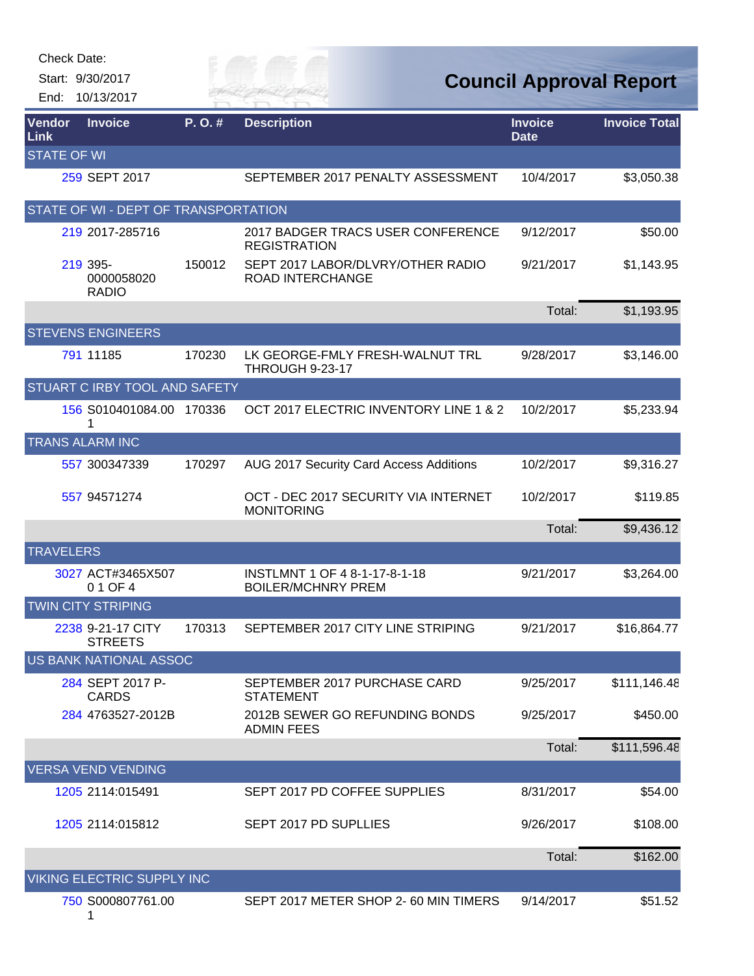| <b>Check Date:</b><br>End:   | Start: 9/30/2017<br>10/13/2017         |        |                                                            |                               | <b>Council Approval Report</b> |
|------------------------------|----------------------------------------|--------|------------------------------------------------------------|-------------------------------|--------------------------------|
| <b>Vendor</b><br><b>Link</b> | <b>Invoice</b>                         | P.O.#  | <b>Description</b>                                         | <b>Invoice</b><br><b>Date</b> | <b>Invoice Total</b>           |
| <b>STATE OF WI</b>           |                                        |        |                                                            |                               |                                |
|                              | 259 SEPT 2017                          |        | SEPTEMBER 2017 PENALTY ASSESSMENT                          | 10/4/2017                     | \$3,050.38                     |
|                              | STATE OF WI - DEPT OF TRANSPORTATION   |        |                                                            |                               |                                |
|                              | 219 2017-285716                        |        | 2017 BADGER TRACS USER CONFERENCE<br><b>REGISTRATION</b>   | 9/12/2017                     | \$50.00                        |
|                              | 219 395-<br>0000058020<br><b>RADIO</b> | 150012 | SEPT 2017 LABOR/DLVRY/OTHER RADIO<br>ROAD INTERCHANGE      | 9/21/2017                     | \$1,143.95                     |
|                              |                                        |        |                                                            | Total:                        | \$1,193.95                     |
|                              | <b>STEVENS ENGINEERS</b>               |        |                                                            |                               |                                |
|                              | 791 11185                              | 170230 | LK GEORGE-FMLY FRESH-WALNUT TRL<br>THROUGH 9-23-17         | 9/28/2017                     | \$3,146.00                     |
|                              | STUART C IRBY TOOL AND SAFETY          |        |                                                            |                               |                                |
|                              | 156 S010401084.00 170336               |        | OCT 2017 ELECTRIC INVENTORY LINE 1 & 2                     | 10/2/2017                     | \$5,233.94                     |
|                              | <b>TRANS ALARM INC</b>                 |        |                                                            |                               |                                |
|                              | 557 300347339                          | 170297 | AUG 2017 Security Card Access Additions                    | 10/2/2017                     | \$9,316.27                     |
|                              | 557 94571274                           |        | OCT - DEC 2017 SECURITY VIA INTERNET<br><b>MONITORING</b>  | 10/2/2017                     | \$119.85                       |
|                              |                                        |        |                                                            | Total:                        | \$9,436.12                     |
| <b>TRAVELERS</b>             |                                        |        |                                                            |                               |                                |
|                              | 3027 ACT#3465X507<br>0 1 OF 4          |        | INSTLMNT 1 OF 4 8-1-17-8-1-18<br><b>BOILER/MCHNRY PREM</b> | 9/21/2017                     | \$3,264.00                     |
|                              | <b>TWIN CITY STRIPING</b>              |        |                                                            |                               |                                |
|                              | 2238 9-21-17 CITY<br><b>STREETS</b>    | 170313 | SEPTEMBER 2017 CITY LINE STRIPING                          | 9/21/2017                     | \$16,864.77                    |
|                              | <b>US BANK NATIONAL ASSOC</b>          |        |                                                            |                               |                                |
|                              | 284 SEPT 2017 P-<br><b>CARDS</b>       |        | SEPTEMBER 2017 PURCHASE CARD<br><b>STATEMENT</b>           | 9/25/2017                     | \$111,146.48                   |
|                              | 284 4763527-2012B                      |        | 2012B SEWER GO REFUNDING BONDS<br><b>ADMIN FEES</b>        | 9/25/2017                     | \$450.00                       |
|                              |                                        |        |                                                            | Total:                        | \$111,596.48                   |
|                              | <b>VERSA VEND VENDING</b>              |        |                                                            |                               |                                |
|                              | 1205 2114:015491                       |        | SEPT 2017 PD COFFEE SUPPLIES                               | 8/31/2017                     | \$54.00                        |
|                              | 1205 2114:015812                       |        | SEPT 2017 PD SUPLLIES                                      | 9/26/2017                     | \$108.00                       |
|                              |                                        |        |                                                            | Total:                        | \$162.00                       |
|                              | VIKING ELECTRIC SUPPLY INC             |        |                                                            |                               |                                |
|                              | 750 S000807761.00<br>1                 |        | SEPT 2017 METER SHOP 2-60 MIN TIMERS                       | 9/14/2017                     | \$51.52                        |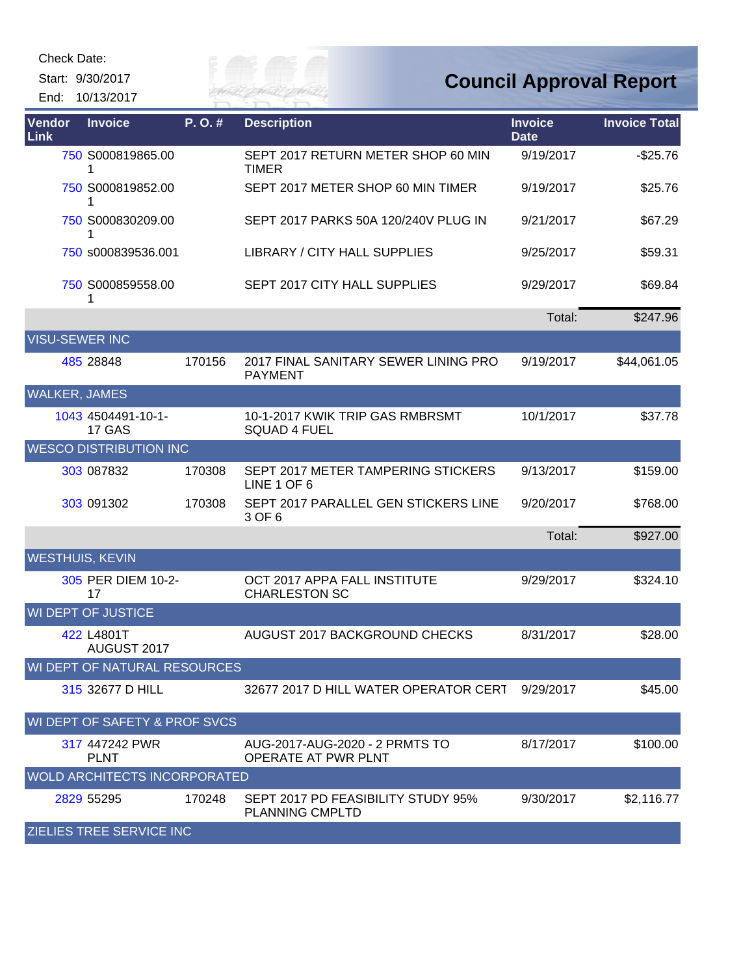Check Date:

Start: 9/30/2017 End: 10/13/2017 Eily of

| Vendor<br>Link         | <b>Invoice</b>                      | P.O.#  | <b>Description</b>                                     | <b>Invoice</b><br><b>Date</b> | <b>Invoice Total</b> |
|------------------------|-------------------------------------|--------|--------------------------------------------------------|-------------------------------|----------------------|
|                        | 750 S000819865.00<br>1              |        | SEPT 2017 RETURN METER SHOP 60 MIN<br><b>TIMER</b>     | 9/19/2017                     | $-$25.76$            |
|                        | 750 S000819852.00<br>1              |        | SEPT 2017 METER SHOP 60 MIN TIMER                      | 9/19/2017                     | \$25.76              |
|                        | 750 S000830209.00<br>1              |        | SEPT 2017 PARKS 50A 120/240V PLUG IN                   | 9/21/2017                     | \$67.29              |
|                        | 750 s000839536.001                  |        | LIBRARY / CITY HALL SUPPLIES                           | 9/25/2017                     | \$59.31              |
|                        | 750 S000859558.00<br>1              |        | SEPT 2017 CITY HALL SUPPLIES                           | 9/29/2017                     | \$69.84              |
|                        |                                     |        |                                                        | Total:                        | \$247.96             |
| <b>VISU-SEWER INC</b>  |                                     |        |                                                        |                               |                      |
|                        | 485 28848                           | 170156 | 2017 FINAL SANITARY SEWER LINING PRO<br><b>PAYMENT</b> | 9/19/2017                     | \$44,061.05          |
| <b>WALKER, JAMES</b>   |                                     |        |                                                        |                               |                      |
|                        | 1043 4504491-10-1-<br>17 GAS        |        | 10-1-2017 KWIK TRIP GAS RMBRSMT<br><b>SQUAD 4 FUEL</b> | 10/1/2017                     | \$37.78              |
|                        | <b>WESCO DISTRIBUTION INC</b>       |        |                                                        |                               |                      |
|                        | 303 087832                          | 170308 | SEPT 2017 METER TAMPERING STICKERS<br>LINE 1 OF 6      | 9/13/2017                     | \$159.00             |
|                        | 303 091302                          | 170308 | SEPT 2017 PARALLEL GEN STICKERS LINE<br>3 OF 6         | 9/20/2017                     | \$768.00             |
|                        |                                     |        |                                                        | Total:                        | \$927.00             |
| <b>WESTHUIS, KEVIN</b> |                                     |        |                                                        |                               |                      |
|                        | 305 PER DIEM 10-2-<br>17            |        | OCT 2017 APPA FALL INSTITUTE<br><b>CHARLESTON SC</b>   | 9/29/2017                     | \$324.10             |
|                        | <b>WI DEPT OF JUSTICE</b>           |        |                                                        |                               |                      |
|                        | 422 L4801T<br>AUGUST 2017           |        | AUGUST 2017 BACKGROUND CHECKS                          | 8/31/2017                     | \$28.00              |
|                        | WI DEPT OF NATURAL RESOURCES        |        |                                                        |                               |                      |
|                        | 315 32677 D HILL                    |        | 32677 2017 D HILL WATER OPERATOR CERT                  | 9/29/2017                     | \$45.00              |
|                        | WI DEPT OF SAFETY & PROF SVCS       |        |                                                        |                               |                      |
|                        | 317 447242 PWR<br><b>PLNT</b>       |        | AUG-2017-AUG-2020 - 2 PRMTS TO<br>OPERATE AT PWR PLNT  | 8/17/2017                     | \$100.00             |
|                        | <b>WOLD ARCHITECTS INCORPORATED</b> |        |                                                        |                               |                      |
|                        | 2829 55295                          | 170248 | SEPT 2017 PD FEASIBILITY STUDY 95%<br>PLANNING CMPLTD  | 9/30/2017                     | \$2,116.77           |
|                        | <b>ZIELIES TREE SERVICE INC</b>     |        |                                                        |                               |                      |